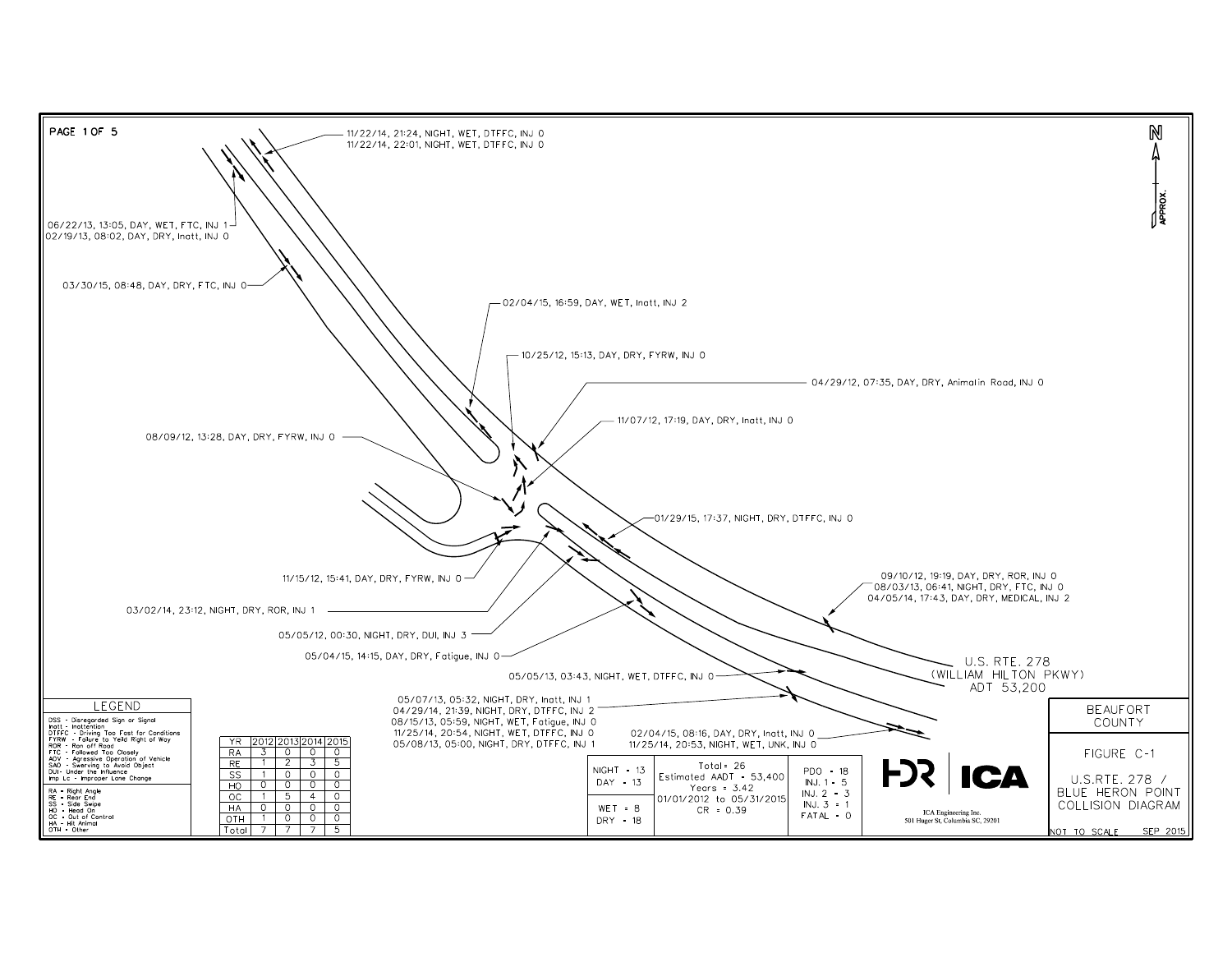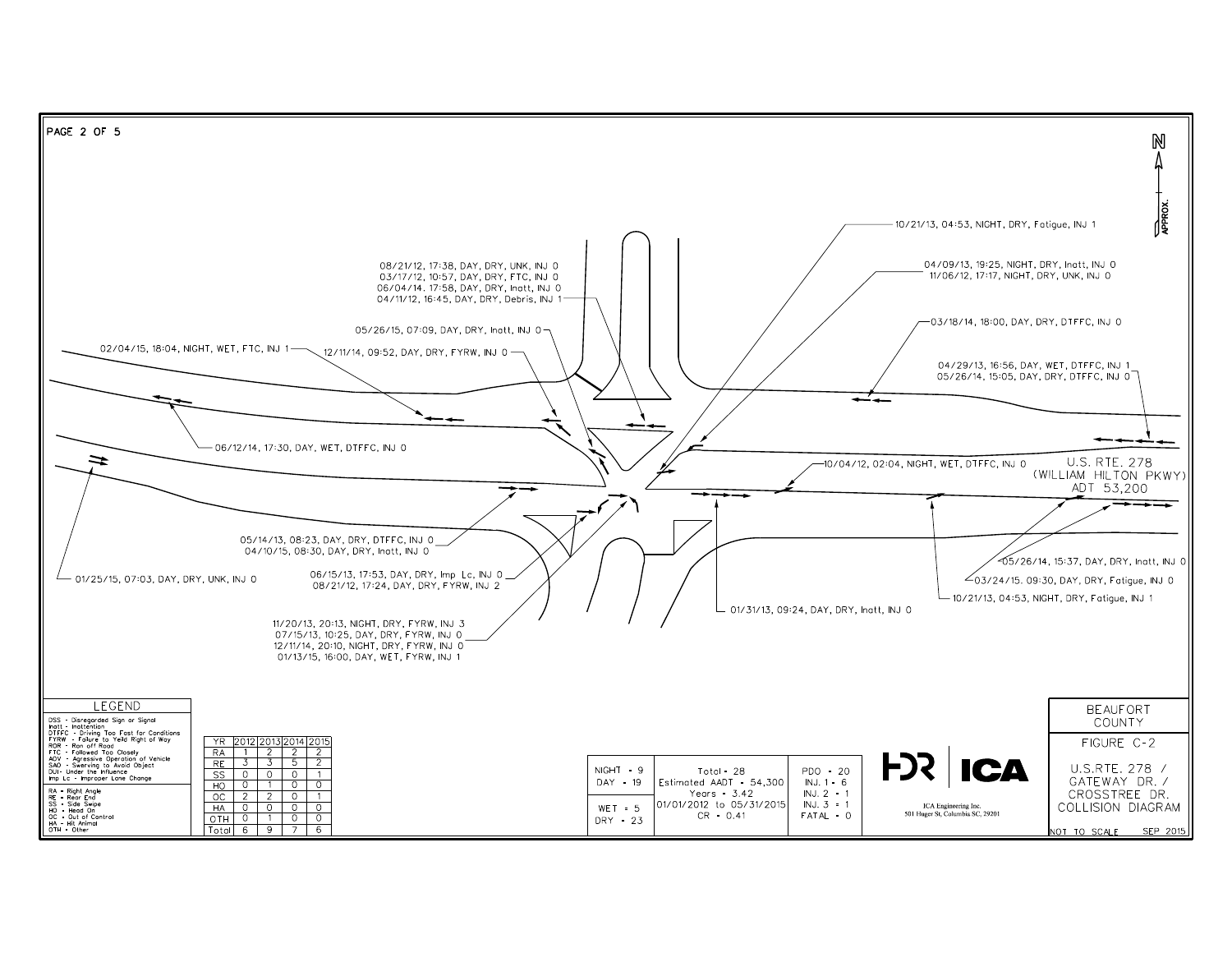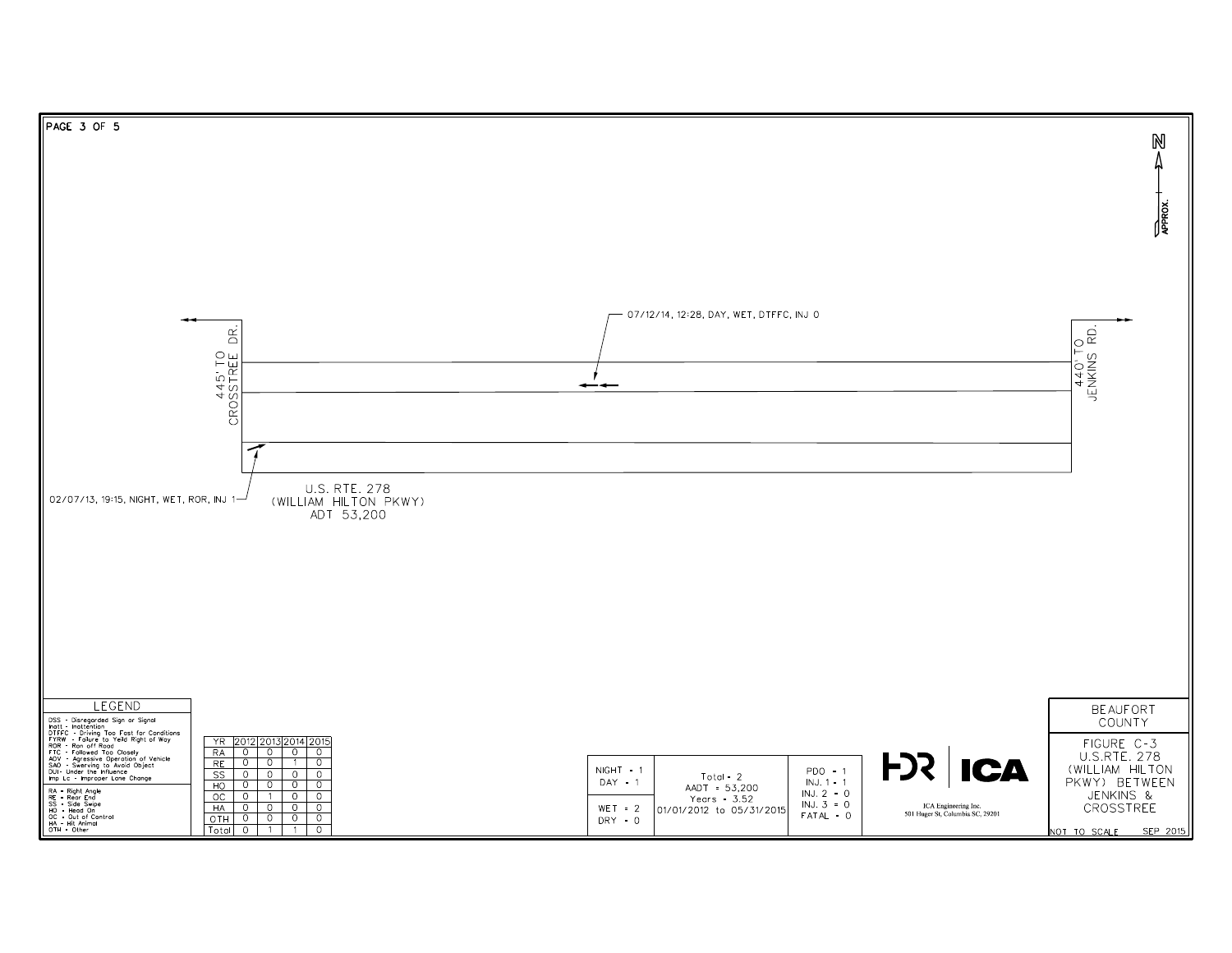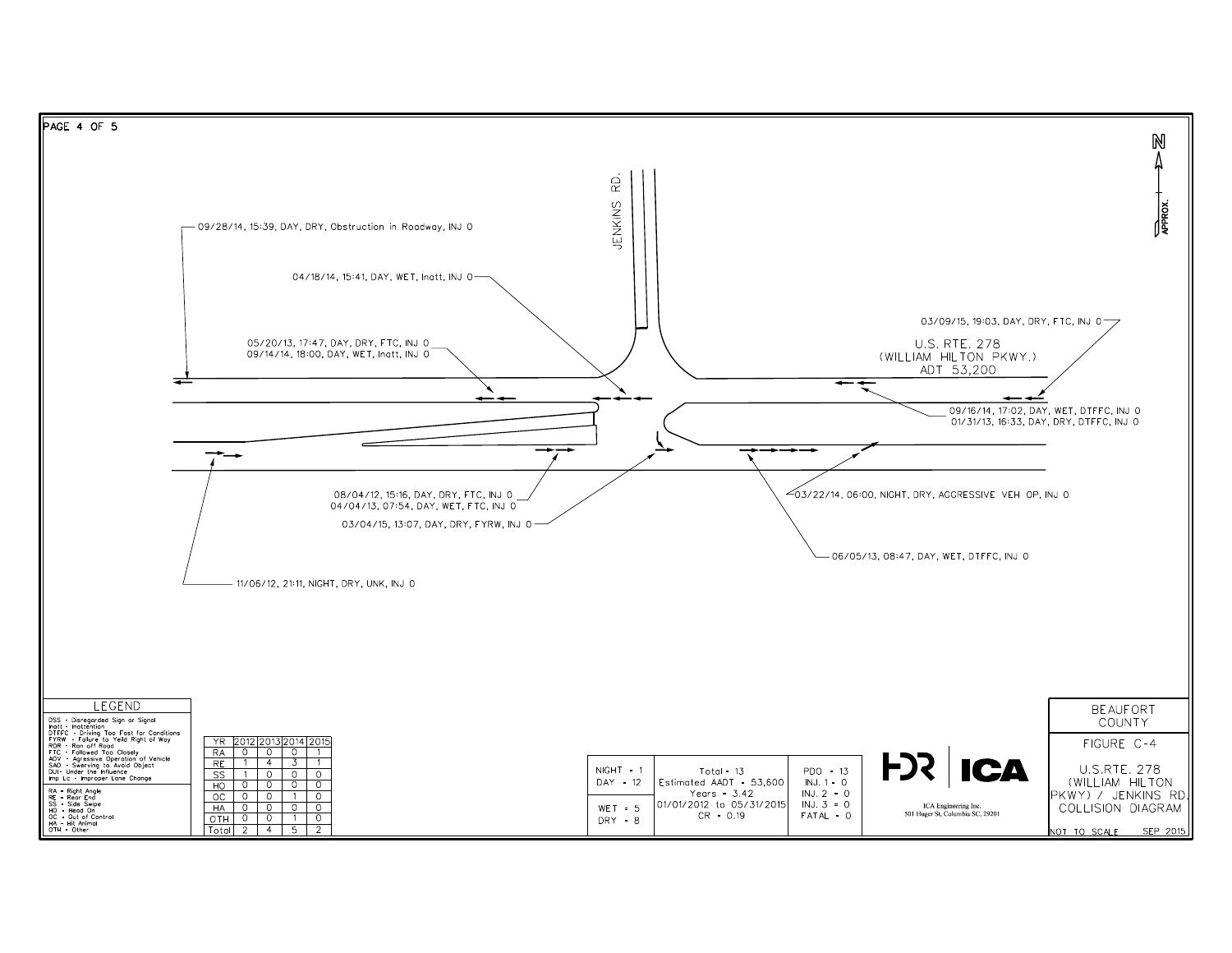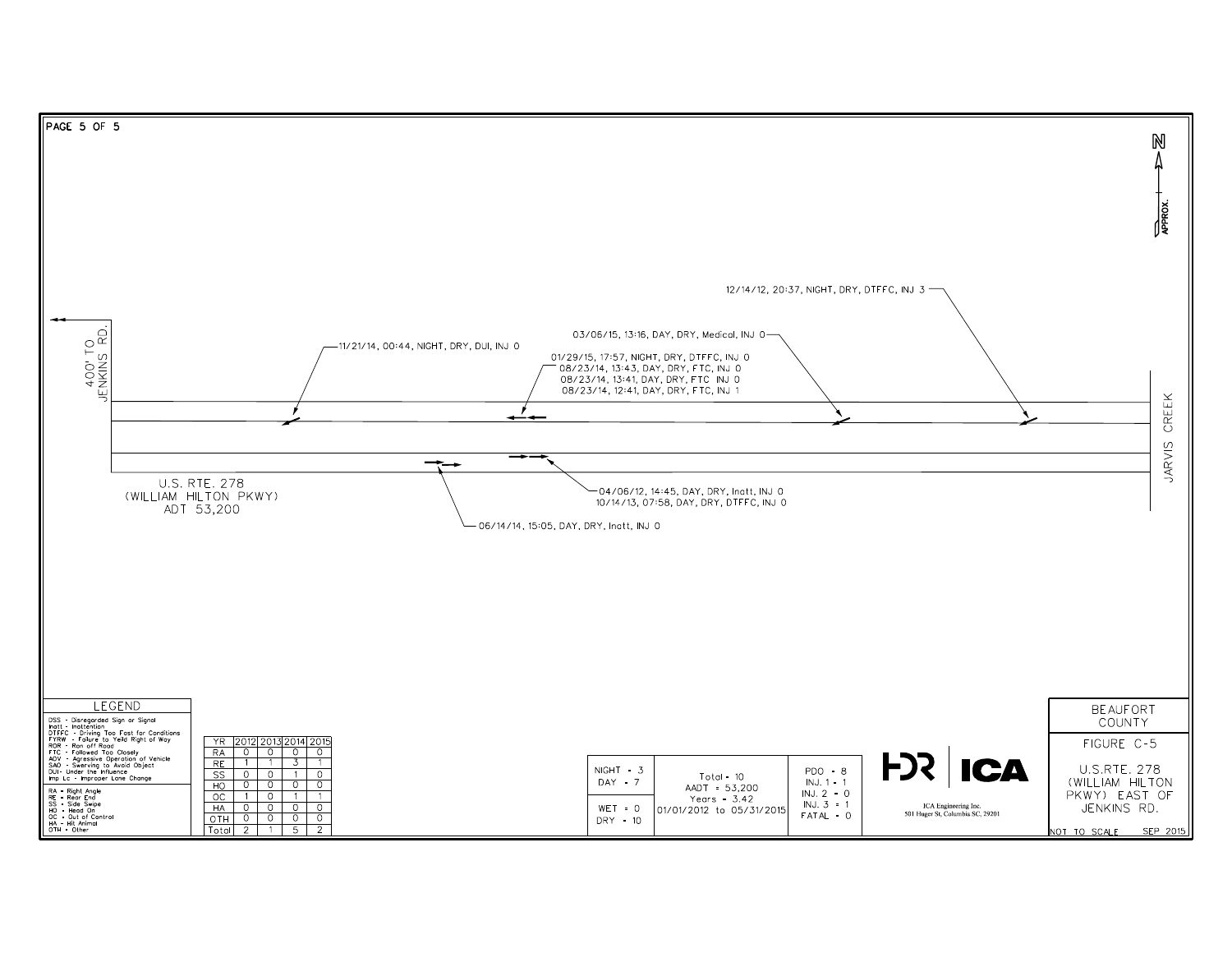